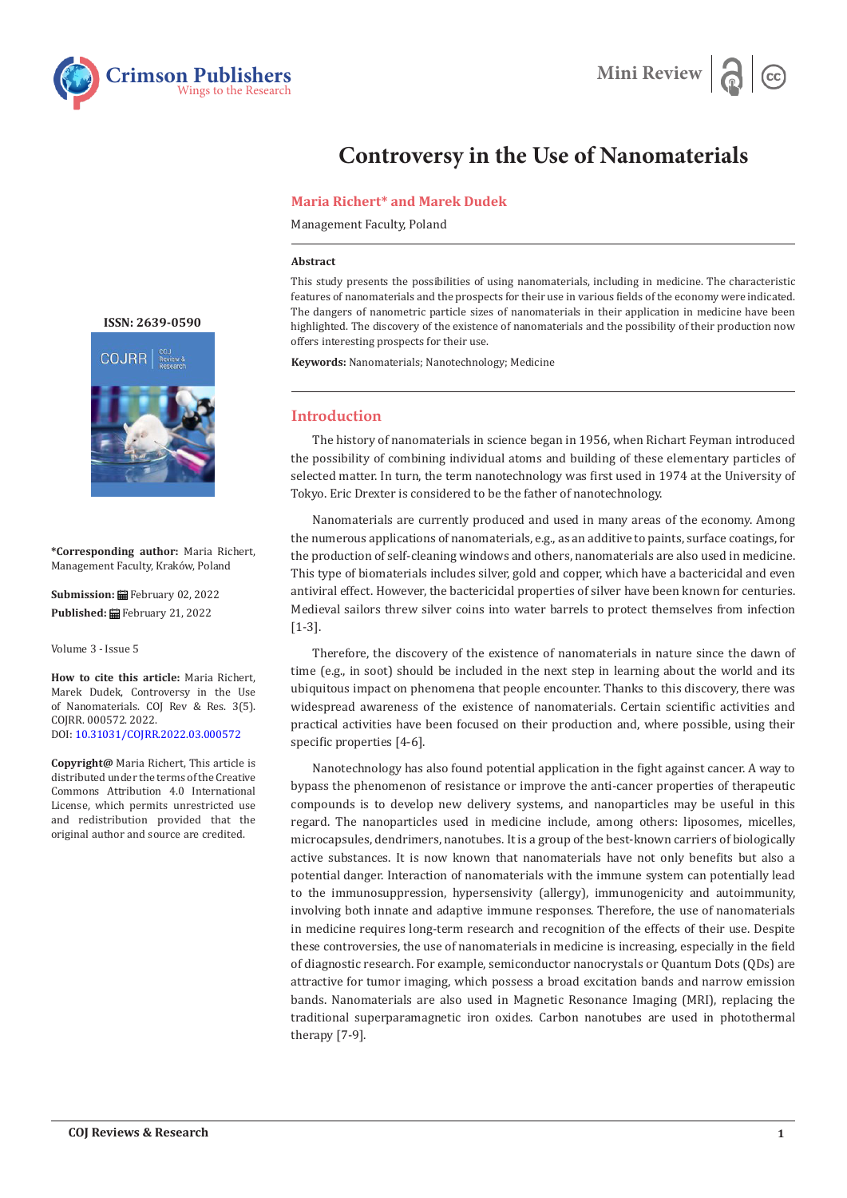



# **Controversy in the Use of Nanomaterials**

## **Maria Richert\* and Marek Dudek**

Management Faculty, Poland

### **Abstract**

This study presents the possibilities of using nanomaterials, including in medicine. The characteristic features of nanomaterials and the prospects for their use in various fields of the economy were indicated. The dangers of nanometric particle sizes of nanomaterials in their application in medicine have been highlighted. The discovery of the existence of nanomaterials and the possibility of their production now offers interesting prospects for their use.

**Keywords:** Nanomaterials; Nanotechnology; Medicine

## **Introduction**

The history of nanomaterials in science began in 1956, when Richart Feyman introduced the possibility of combining individual atoms and building of these elementary particles of selected matter. In turn, the term nanotechnology was first used in 1974 at the University of Tokyo. Eric Drexter is considered to be the father of nanotechnology.

Nanomaterials are currently produced and used in many areas of the economy. Among the numerous applications of nanomaterials, e.g., as an additive to paints, surface coatings, for the production of self-cleaning windows and others, nanomaterials are also used in medicine. This type of biomaterials includes silver, gold and copper, which have a bactericidal and even antiviral effect. However, the bactericidal properties of silver have been known for centuries. Medieval sailors threw silver coins into water barrels to protect themselves from infection [1-3].

Therefore, the discovery of the existence of nanomaterials in nature since the dawn of time (e.g., in soot) should be included in the next step in learning about the world and its ubiquitous impact on phenomena that people encounter. Thanks to this discovery, there was widespread awareness of the existence of nanomaterials. Certain scientific activities and practical activities have been focused on their production and, where possible, using their specific properties [4-6].

Nanotechnology has also found potential application in the fight against cancer. A way to bypass the phenomenon of resistance or improve the anti-cancer properties of therapeutic compounds is to develop new delivery systems, and nanoparticles may be useful in this regard. The nanoparticles used in medicine include, among others: liposomes, micelles, microcapsules, dendrimers, nanotubes. It is a group of the best-known carriers of biologically active substances. It is now known that nanomaterials have not only benefits but also a potential danger. Interaction of nanomaterials with the immune system can potentially lead to the immunosuppression, hypersensivity (allergy), immunogenicity and autoimmunity, involving both innate and adaptive immune responses. Therefore, the use of nanomaterials in medicine requires long-term research and recognition of the effects of their use. Despite these controversies, the use of nanomaterials in medicine is increasing, especially in the field of diagnostic research. For example, semiconductor nanocrystals or Quantum Dots (QDs) are attractive for tumor imaging, which possess a broad excitation bands and narrow emission bands. Nanomaterials are also used in Magnetic Resonance Imaging (MRI), replacing the traditional superparamagnetic iron oxides. Carbon nanotubes are used in photothermal therapy [7-9].

**[ISSN: 2639-0590](https://www.crimsonpublishers.com/cojrr/)**



**\*Corresponding author:** Maria Richert, Management Faculty, Kraków, Poland

**Submission:** February 02, 2022 **Published:** February 21, 2022

Volume 3 - Issue 5

**How to cite this article:** Maria Richert, Marek Dudek, Controversy in the Use of Nanomaterials. COJ Rev & Res. 3(5). COJRR. 000572. 2022. DOI: [10.31031/COJRR.2022.03.00057](http://dx.doi.org/10.31031/COJRR.2022.03.000572)2

**Copyright@** Maria Richert, This article is distributed under the terms of the Creative Commons Attribution 4.0 International License, which permits unrestricted use and redistribution provided that the original author and source are credited.